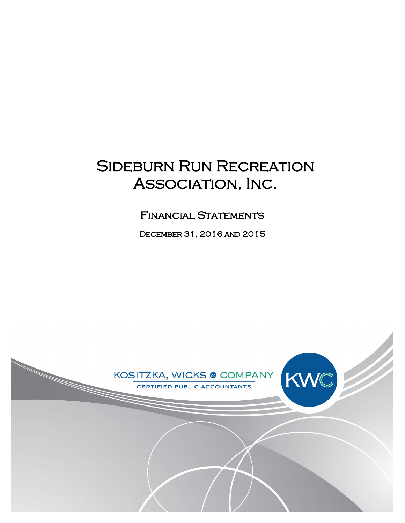# SIDEBURN RUN RECREATION ASSOCIATION, INC.

# Financial Statements

December 31, 2016 and 2015

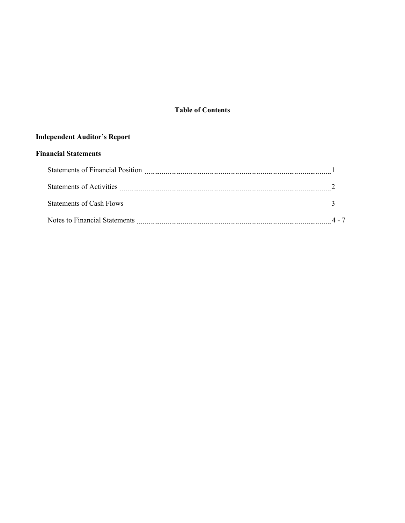### **Table of Contents**

# **Independent Auditor's Report**

### **Financial Statements**

| Statements of Financial Position 2000 and 2000 and 2000 and 2000 and 2000 and 2000 and 2000 and 2000 and 2000 and 2000 and 2000 and 2000 and 2000 and 2000 and 2000 and 2000 and 2000 and 2000 and 2000 and 2000 and 2000 and |         |
|-------------------------------------------------------------------------------------------------------------------------------------------------------------------------------------------------------------------------------|---------|
|                                                                                                                                                                                                                               |         |
|                                                                                                                                                                                                                               |         |
|                                                                                                                                                                                                                               | $4 - 7$ |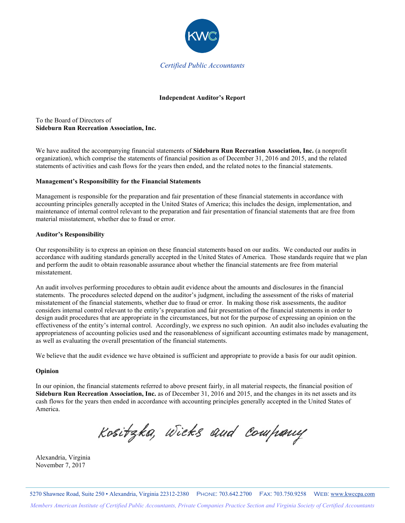

#### **Independent Auditor's Report**

To the Board of Directors of **Sideburn Run Recreation Association, Inc.**

We have audited the accompanying financial statements of **Sideburn Run Recreation Association, Inc.** (a nonprofit organization), which comprise the statements of financial position as of December 31, 2016 and 2015, and the related statements of activities and cash flows for the years then ended, and the related notes to the financial statements.

#### **Management's Responsibility for the Financial Statements**

Management is responsible for the preparation and fair presentation of these financial statements in accordance with accounting principles generally accepted in the United States of America; this includes the design, implementation, and maintenance of internal control relevant to the preparation and fair presentation of financial statements that are free from material misstatement, whether due to fraud or error.

#### **Auditor's Responsibility**

Our responsibility is to express an opinion on these financial statements based on our audits. We conducted our audits in accordance with auditing standards generally accepted in the United States of America. Those standards require that we plan and perform the audit to obtain reasonable assurance about whether the financial statements are free from material misstatement.

An audit involves performing procedures to obtain audit evidence about the amounts and disclosures in the financial statements. The procedures selected depend on the auditor's judgment, including the assessment of the risks of material misstatement of the financial statements, whether due to fraud or error. In making those risk assessments, the auditor considers internal control relevant to the entity's preparation and fair presentation of the financial statements in order to design audit procedures that are appropriate in the circumstances, but not for the purpose of expressing an opinion on the effectiveness of the entity's internal control. Accordingly, we express no such opinion. An audit also includes evaluating the appropriateness of accounting policies used and the reasonableness of significant accounting estimates made by management, as well as evaluating the overall presentation of the financial statements.

We believe that the audit evidence we have obtained is sufficient and appropriate to provide a basis for our audit opinion.

#### **Opinion**

In our opinion, the financial statements referred to above present fairly, in all material respects, the financial position of **Sideburn Run Recreation Association, Inc.** as of December 31, 2016 and 2015, and the changes in its net assets and its cash flows for the years then ended in accordance with accounting principles generally accepted in the United States of America.

Kositzka, Wicks and Company

Alexandria, Virginia November 7, 2017

*Members American Institute of Certified Public Accountants, Private Companies Practice Section and Virginia Society of Certified Accountants*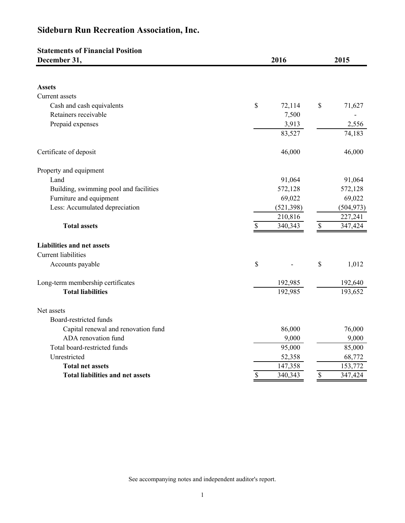### **Statements of Financial Position December 31,**

| December 31,                            | 2016                                 | 2015                                 |
|-----------------------------------------|--------------------------------------|--------------------------------------|
|                                         |                                      |                                      |
| <b>Assets</b>                           |                                      |                                      |
| Current assets                          |                                      |                                      |
| Cash and cash equivalents               | \$<br>72,114                         | \$<br>71,627                         |
| Retainers receivable                    | 7,500                                |                                      |
| Prepaid expenses                        | 3,913                                | 2,556                                |
|                                         | 83,527                               | 74,183                               |
| Certificate of deposit                  | 46,000                               | 46,000                               |
| Property and equipment                  |                                      |                                      |
| Land                                    | 91,064                               | 91,064                               |
| Building, swimming pool and facilities  | 572,128                              | 572,128                              |
| Furniture and equipment                 | 69,022                               | 69,022                               |
| Less: Accumulated depreciation          | (521, 398)                           | (504, 973)                           |
|                                         | 210,816                              | 227,241                              |
| <b>Total assets</b>                     | \$<br>340,343                        | $\boldsymbol{\mathsf{S}}$<br>347,424 |
| <b>Liabilities and net assets</b>       |                                      |                                      |
| <b>Current liabilities</b>              |                                      |                                      |
| Accounts payable                        | \$                                   | \$<br>1,012                          |
| Long-term membership certificates       | 192,985                              | 192,640                              |
| <b>Total liabilities</b>                | 192,985                              | 193,652                              |
| Net assets                              |                                      |                                      |
| Board-restricted funds                  |                                      |                                      |
| Capital renewal and renovation fund     | 86,000                               | 76,000                               |
| ADA renovation fund                     | 9,000                                | 9,000                                |
| Total board-restricted funds            | 95,000                               | 85,000                               |
| Unrestricted                            | 52,358                               | 68,772                               |
| <b>Total net assets</b>                 | 147,358                              | 153,772                              |
| <b>Total liabilities and net assets</b> | $\boldsymbol{\mathsf{S}}$<br>340,343 | $\boldsymbol{\mathsf{S}}$<br>347,424 |

See accompanying notes and independent auditor's report.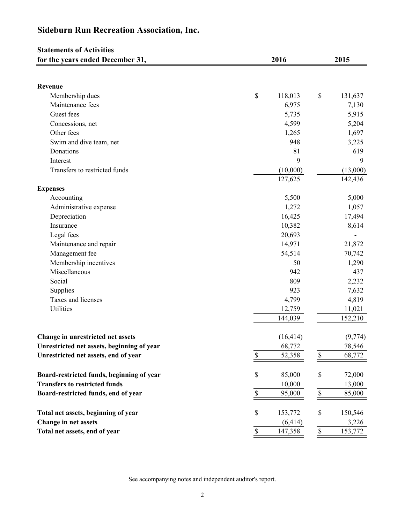| <b>Statements of Activities</b>            |      |           |             |          |
|--------------------------------------------|------|-----------|-------------|----------|
| for the years ended December 31,           |      | 2016      |             | 2015     |
|                                            |      |           |             |          |
| Revenue                                    |      |           |             |          |
| Membership dues                            | $\$$ | 118,013   | $\$$        | 131,637  |
| Maintenance fees                           |      | 6,975     |             | 7,130    |
| Guest fees                                 |      | 5,735     |             | 5,915    |
| Concessions, net                           |      | 4,599     |             | 5,204    |
| Other fees                                 |      | 1,265     |             | 1,697    |
| Swim and dive team, net                    |      | 948       |             | 3,225    |
| Donations                                  |      | 81        |             | 619      |
| Interest                                   |      | 9         |             | 9        |
| Transfers to restricted funds              |      | (10,000)  |             | (13,000) |
|                                            |      | 127,625   |             | 142,436  |
| <b>Expenses</b>                            |      |           |             |          |
| Accounting                                 |      | 5,500     |             | 5,000    |
| Administrative expense                     |      | 1,272     |             | 1,057    |
| Depreciation                               |      | 16,425    |             | 17,494   |
| Insurance                                  |      | 10,382    |             | 8,614    |
| Legal fees                                 |      | 20,693    |             |          |
| Maintenance and repair                     |      | 14,971    |             | 21,872   |
| Management fee                             |      | 54,514    |             | 70,742   |
| Membership incentives                      |      | 50        |             | 1,290    |
| Miscellaneous                              |      | 942       |             | 437      |
| Social                                     |      | 809       |             | 2,232    |
| Supplies                                   |      | 923       |             | 7,632    |
| Taxes and licenses                         |      | 4,799     |             | 4,819    |
| <b>Utilities</b>                           |      | 12,759    |             | 11,021   |
|                                            |      | 144,039   |             | 152,210  |
| Change in unrestricted net assets          |      | (16, 414) |             | (9, 774) |
| Unrestricted net assets, beginning of year |      | 68,772    |             | 78,546   |
| Unrestricted net assets, end of year       | \$   | 52,358    | \$          | 68,772   |
| Board-restricted funds, beginning of year  | \$   | 85,000    | $\$$        | 72,000   |
| <b>Transfers to restricted funds</b>       |      | 10,000    |             | 13,000   |
| Board-restricted funds, end of year        | \$   | 95,000    | \$          | 85,000   |
| Total net assets, beginning of year        | \$   | 153,772   | \$          | 150,546  |
| Change in net assets                       |      | (6, 414)  |             | 3,226    |
| Total net assets, end of year              | \$   | 147,358   | $\mathbb S$ | 153,772  |

See accompanying notes and independent auditor's report.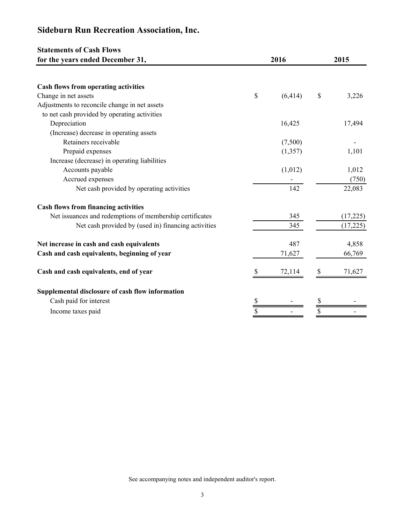# **Statements of Cash Flows**

| for the years ended December 31,                         | 2016           | 2015        |
|----------------------------------------------------------|----------------|-------------|
|                                                          |                |             |
| <b>Cash flows from operating activities</b>              |                |             |
| Change in net assets                                     | \$<br>(6, 414) | \$<br>3,226 |
| Adjustments to reconcile change in net assets            |                |             |
| to net cash provided by operating activities             |                |             |
| Depreciation                                             | 16,425         | 17,494      |
| (Increase) decrease in operating assets                  |                |             |
| Retainers receivable                                     | (7,500)        |             |
| Prepaid expenses                                         | (1,357)        | 1,101       |
| Increase (decrease) in operating liabilities             |                |             |
| Accounts payable                                         | (1,012)        | 1,012       |
| Accrued expenses                                         |                | (750)       |
| Net cash provided by operating activities                | 142            | 22,083      |
| <b>Cash flows from financing activities</b>              |                |             |
| Net issuances and redemptions of membership certificates | 345            | (17,225)    |
| Net cash provided by (used in) financing activities      | 345            | (17,225)    |
| Net increase in cash and cash equivalents                | 487            | 4,858       |
| Cash and cash equivalents, beginning of year             | 71,627         | 66,769      |
| Cash and cash equivalents, end of year                   | 72,114         | 71,627      |
| Supplemental disclosure of cash flow information         |                |             |
| Cash paid for interest                                   |                |             |
| Income taxes paid                                        | \$             |             |

See accompanying notes and independent auditor's report.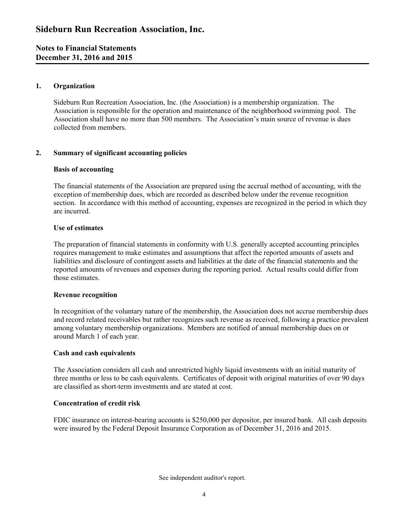#### **Notes to Financial Statements December 31, 2016 and 2015**

#### **1. Organization**

Sideburn Run Recreation Association, Inc. (the Association) is a membership organization. The Association is responsible for the operation and maintenance of the neighborhood swimming pool. The Association shall have no more than 500 members. The Association's main source of revenue is dues collected from members.

#### **2. Summary of significant accounting policies**

#### **Basis of accounting**

The financial statements of the Association are prepared using the accrual method of accounting, with the exception of membership dues, which are recorded as described below under the revenue recognition section. In accordance with this method of accounting, expenses are recognized in the period in which they are incurred.

#### **Use of estimates**

The preparation of financial statements in conformity with U.S. generally accepted accounting principles requires management to make estimates and assumptions that affect the reported amounts of assets and liabilities and disclosure of contingent assets and liabilities at the date of the financial statements and the reported amounts of revenues and expenses during the reporting period. Actual results could differ from those estimates.

#### **Revenue recognition**

In recognition of the voluntary nature of the membership, the Association does not accrue membership dues and record related receivables but rather recognizes such revenue as received, following a practice prevalent among voluntary membership organizations. Members are notified of annual membership dues on or around March 1 of each year.

#### **Cash and cash equivalents**

The Association considers all cash and unrestricted highly liquid investments with an initial maturity of three months or less to be cash equivalents. Certificates of deposit with original maturities of over 90 days are classified as short-term investments and are stated at cost.

#### **Concentration of credit risk**

FDIC insurance on interest-bearing accounts is \$250,000 per depositor, per insured bank. All cash deposits were insured by the Federal Deposit Insurance Corporation as of December 31, 2016 and 2015.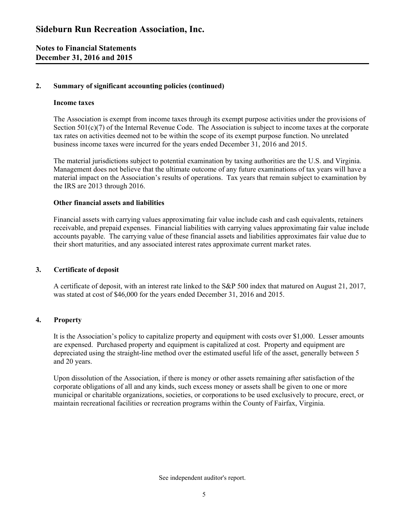#### **Notes to Financial Statements December 31, 2016 and 2015**

#### **2. Summary of significant accounting policies (continued)**

#### **Income taxes**

The Association is exempt from income taxes through its exempt purpose activities under the provisions of Section  $501(c)(7)$  of the Internal Revenue Code. The Association is subject to income taxes at the corporate tax rates on activities deemed not to be within the scope of its exempt purpose function. No unrelated business income taxes were incurred for the years ended December 31, 2016 and 2015.

The material jurisdictions subject to potential examination by taxing authorities are the U.S. and Virginia. Management does not believe that the ultimate outcome of any future examinations of tax years will have a material impact on the Association's results of operations. Tax years that remain subject to examination by the IRS are 2013 through 2016.

#### **Other financial assets and liabilities**

Financial assets with carrying values approximating fair value include cash and cash equivalents, retainers receivable, and prepaid expenses. Financial liabilities with carrying values approximating fair value include accounts payable. The carrying value of these financial assets and liabilities approximates fair value due to their short maturities, and any associated interest rates approximate current market rates.

#### **3. Certificate of deposit**

A certificate of deposit, with an interest rate linked to the S&P 500 index that matured on August 21, 2017, was stated at cost of \$46,000 for the years ended December 31, 2016 and 2015.

#### **4. Property**

It is the Association's policy to capitalize property and equipment with costs over \$1,000. Lesser amounts are expensed. Purchased property and equipment is capitalized at cost. Property and equipment are depreciated using the straight-line method over the estimated useful life of the asset, generally between 5 and 20 years.

Upon dissolution of the Association, if there is money or other assets remaining after satisfaction of the corporate obligations of all and any kinds, such excess money or assets shall be given to one or more municipal or charitable organizations, societies, or corporations to be used exclusively to procure, erect, or maintain recreational facilities or recreation programs within the County of Fairfax, Virginia.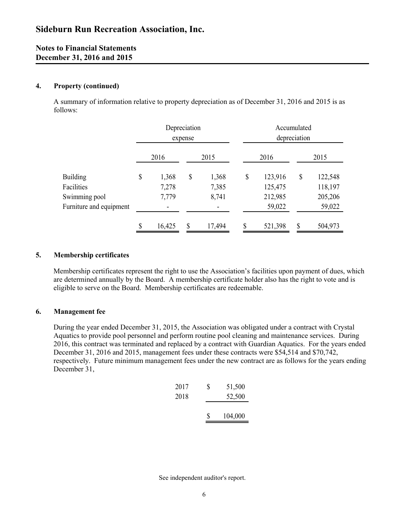#### **Notes to Financial Statements December 31, 2016 and 2015**

#### **4. Property (continued)**

A summary of information relative to property depreciation as of December 31, 2016 and 2015 is as follows:

|                         | Depreciation<br>expense |        |    | Accumulated<br>depreciation |    |         |    |         |
|-------------------------|-------------------------|--------|----|-----------------------------|----|---------|----|---------|
|                         |                         | 2016   |    | 2015                        |    | 2016    |    | 2015    |
| <b>Building</b>         | \$                      | 1,368  | \$ | 1,368                       | \$ | 123,916 | \$ | 122,548 |
| Facilities              |                         | 7,278  |    | 7,385                       |    | 125,475 |    | 118,197 |
| Swimming pool           |                         | 7,779  |    | 8,741                       |    | 212,985 |    | 205,206 |
| Furniture and equipment |                         | ٠      |    | ٠                           |    | 59,022  |    | 59,022  |
|                         | \$                      | 16,425 | \$ | 17,494                      | \$ | 521,398 | \$ | 504,973 |

#### **5. Membership certificates**

Membership certificates represent the right to use the Association's facilities upon payment of dues, which are determined annually by the Board. A membership certificate holder also has the right to vote and is eligible to serve on the Board. Membership certificates are redeemable.

#### **6. Management fee**

During the year ended December 31, 2015, the Association was obligated under a contract with Crystal Aquatics to provide pool personnel and perform routine pool cleaning and maintenance services. During 2016, this contract was terminated and replaced by a contract with Guardian Aquatics. For the years ended December 31, 2016 and 2015, management fees under these contracts were \$54,514 and \$70,742, respectively. Future minimum management fees under the new contract are as follows for the years ending December 31,

| 2017<br>2018 | \$ | 51,500<br>52,500 |
|--------------|----|------------------|
|              | S  | 104,000          |
|              |    |                  |